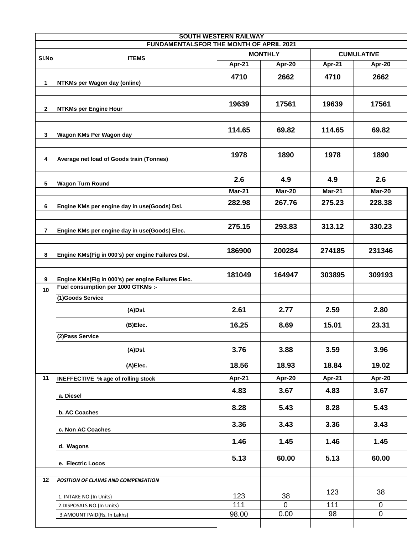|                | FUNDAMENTALSFOR THE MONTH OF APRIL 2021                                                  | <b>SOUTH WESTERN RAILWAY</b>        |                |               |               |  |
|----------------|------------------------------------------------------------------------------------------|-------------------------------------|----------------|---------------|---------------|--|
|                |                                                                                          | <b>MONTHLY</b><br><b>CUMULATIVE</b> |                |               |               |  |
| SI.No          | <b>ITEMS</b>                                                                             | Apr-21                              | Apr-20         | Apr-21        | Apr-20        |  |
| 1              | NTKMs per Wagon day (online)                                                             | 4710                                | 2662           | 4710          | 2662          |  |
| $\mathbf{2}$   | <b>NTKMs per Engine Hour</b>                                                             | 19639                               | 17561          | 19639         | 17561         |  |
| 3              | Wagon KMs Per Wagon day                                                                  | 114.65                              | 69.82          | 114.65        | 69.82         |  |
| 4              | Average net load of Goods train (Tonnes)                                                 | 1978                                | 1890           | 1978          | 1890          |  |
| 5              | <b>Wagon Turn Round</b>                                                                  | 2.6                                 | 4.9            | 4.9           | 2.6           |  |
|                |                                                                                          | <b>Mar-21</b>                       | <b>Mar-20</b>  | <b>Mar-21</b> | <b>Mar-20</b> |  |
| 6              | Engine KMs per engine day in use(Goods) Dsl.                                             | 282.98                              | 267.76         | 275.23        | 228.38        |  |
| $\overline{7}$ | Engine KMs per engine day in use(Goods) Elec.                                            | 275.15                              | 293.83         | 313.12        | 330.23        |  |
| 8              | Engine KMs(Fig in 000's) per engine Failures Dsl.                                        | 186900                              | 200284         | 274185        | 231346        |  |
| 9<br>10        | Engine KMs(Fig in 000's) per engine Failures Elec.<br>Fuel consumption per 1000 GTKMs :- | 181049                              | 164947         | 303895        | 309193        |  |
|                | (1)Goods Service                                                                         |                                     |                |               |               |  |
|                | (A)Dsl.                                                                                  | 2.61                                | 2.77           | 2.59          | 2.80          |  |
|                | (B)Elec.                                                                                 | 16.25                               | 8.69           | 15.01         | 23.31         |  |
|                | (2) Pass Service                                                                         |                                     |                |               |               |  |
|                | (A)Dsl.                                                                                  | 3.76                                | 3.88           | 3.59          | 3.96          |  |
|                | (A)Elec.                                                                                 | 18.56                               | 18.93          | 18.84         | 19.02         |  |
| 11             | INEFFECTIVE % age of rolling stock                                                       | Apr-21                              | Apr-20         | Apr-21        | Apr-20        |  |
|                | a. Diesel                                                                                | 4.83                                | 3.67           | 4.83          | 3.67          |  |
|                | b. AC Coaches                                                                            | 8.28                                | 5.43           | 8.28          | 5.43          |  |
|                | c. Non AC Coaches                                                                        | 3.36                                | 3.43           | 3.36          | 3.43          |  |
|                | d. Wagons                                                                                | 1.46                                | 1.45           | 1.46          | 1.45          |  |
|                | e. Electric Locos                                                                        | 5.13                                | 60.00          | 5.13          | 60.00         |  |
| 12             | POSITION OF CLAIMS AND COMPENSATION                                                      |                                     |                |               |               |  |
|                | 1. INTAKE NO.(In Units)                                                                  | 123                                 | 38             | 123           | 38            |  |
|                | 2.DISPOSALS NO.(In Units)                                                                | 111                                 | $\overline{0}$ | 111           | 0             |  |
|                | 3.AMOUNT PAID(Rs. In Lakhs)                                                              | 98.00                               | 0.00           | 98            | $\pmb{0}$     |  |
|                |                                                                                          |                                     |                |               |               |  |